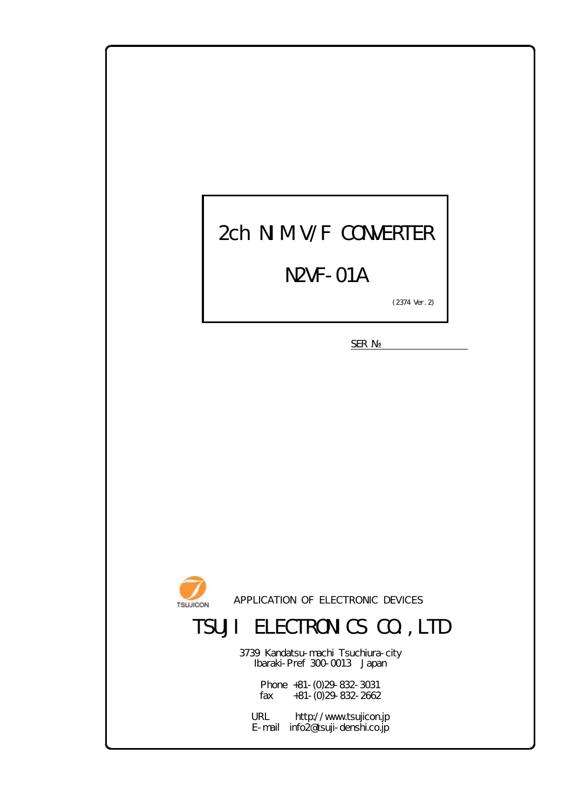# 2ch N MV/F COMERTER

### N2VF-01A

(2374 Ver.2)

 ${\rm SER}$ 



APPLICATION OF ELECTRONIC DEVICES

## TSUJI ELECTRONICS CO., LTD

3739 Kandatsu-machi Tsuchiura-city Ibaraki-Pref 300-0013 Japan

> Phone +81-(0)29-832-3031 fax  $+81-(0)29-832-2662$

URL http://www.tsujicon.jp E-mail info2@tsuji-denshi.co.jp